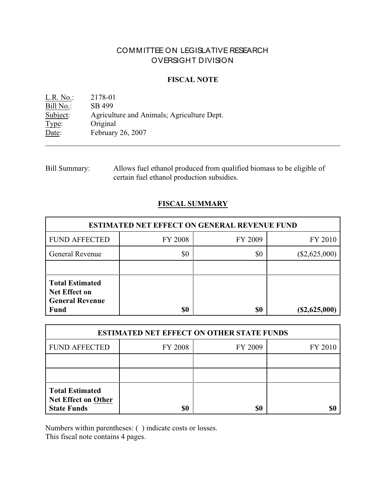# COMMITTEE ON LEGISLATIVE RESEARCH OVERSIGHT DIVISION

# **FISCAL NOTE**

L.R. No.: 2178-01<br>Bill No.: SB 499  $\frac{\text{Bill No.}}{\text{Subject:}}$ Agriculture and Animals; Agriculture Dept. Type: Original<br>Date: February February 26, 2007

| <b>Bill Summary:</b> | Allows fuel ethanol produced from qualified biomass to be eligible of |
|----------------------|-----------------------------------------------------------------------|
|                      | certain fuel ethanol production subsidies.                            |

# **FISCAL SUMMARY**

| <b>ESTIMATED NET EFFECT ON GENERAL REVENUE FUND</b>                                     |         |         |                 |  |
|-----------------------------------------------------------------------------------------|---------|---------|-----------------|--|
| <b>FUND AFFECTED</b>                                                                    | FY 2008 | FY 2009 | FY 2010         |  |
| General Revenue                                                                         | \$0     | \$0     | $(\$2,625,000)$ |  |
|                                                                                         |         |         |                 |  |
| <b>Total Estimated</b><br><b>Net Effect on</b><br><b>General Revenue</b><br><b>Fund</b> | \$0     | \$0     | $(\$2,625,000)$ |  |

| <b>ESTIMATED NET EFFECT ON OTHER STATE FUNDS</b>                           |                |         |         |  |
|----------------------------------------------------------------------------|----------------|---------|---------|--|
| <b>FUND AFFECTED</b>                                                       | <b>FY 2008</b> | FY 2009 | FY 2010 |  |
|                                                                            |                |         |         |  |
|                                                                            |                |         |         |  |
| <b>Total Estimated</b><br><b>Net Effect on Other</b><br><b>State Funds</b> | \$0            | \$0     |         |  |

Numbers within parentheses: ( ) indicate costs or losses.

This fiscal note contains 4 pages.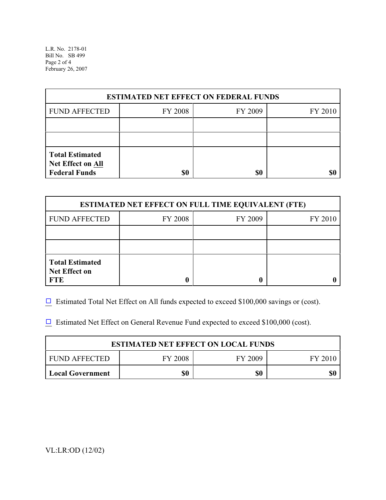L.R. No. 2178-01 Bill No. SB 499 Page 2 of 4 February 26, 2007

| <b>ESTIMATED NET EFFECT ON FEDERAL FUNDS</b>                        |         |         |         |  |
|---------------------------------------------------------------------|---------|---------|---------|--|
| <b>FUND AFFECTED</b>                                                | FY 2008 | FY 2009 | FY 2010 |  |
|                                                                     |         |         |         |  |
|                                                                     |         |         |         |  |
| <b>Total Estimated</b><br>Net Effect on All<br><b>Federal Funds</b> | \$0     | \$0     |         |  |

| <b>ESTIMATED NET EFFECT ON FULL TIME EQUIVALENT (FTE)</b>    |         |         |         |  |
|--------------------------------------------------------------|---------|---------|---------|--|
| <b>FUND AFFECTED</b>                                         | FY 2008 | FY 2009 | FY 2010 |  |
|                                                              |         |         |         |  |
|                                                              |         |         |         |  |
| <b>Total Estimated</b><br><b>Net Effect on</b><br><b>FTE</b> |         |         |         |  |

 $\Box$  Estimated Total Net Effect on All funds expected to exceed \$100,000 savings or (cost).

 $\Box$  Estimated Net Effect on General Revenue Fund expected to exceed \$100,000 (cost).

| <b>ESTIMATED NET EFFECT ON LOCAL FUNDS</b> |                |         |         |
|--------------------------------------------|----------------|---------|---------|
| <b>FUND AFFECTED</b>                       | <b>FY 2008</b> | FY 2009 | FY 2010 |
| <b>Local Government</b>                    | \$0            | \$0     | \$0     |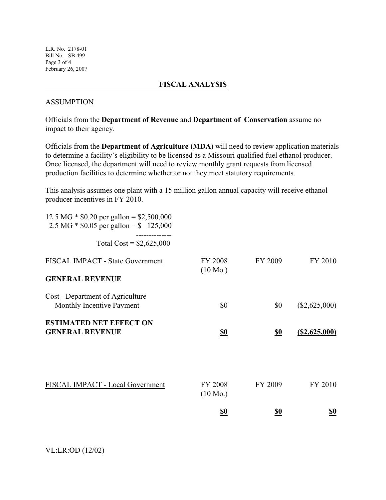L.R. No. 2178-01 Bill No. SB 499 Page 3 of 4 February 26, 2007

#### **FISCAL ANALYSIS**

#### ASSUMPTION

Officials from the **Department of Revenue** and **Department of Conservation** assume no impact to their agency.

Officials from the **Department of Agriculture (MDA)** will need to review application materials to determine a facility's eligibility to be licensed as a Missouri qualified fuel ethanol producer. Once licensed, the department will need to review monthly grant requests from licensed production facilities to determine whether or not they meet statutory requirements.

This analysis assumes one plant with a 15 million gallon annual capacity will receive ethanol producer incentives in FY 2010.

| 12.5 MG $*$ \$0.20 per gallon = \$2,500,000<br>2.5 MG $*$ \$0.05 per gallon = \$ 125,000 |                                      |            |                  |
|------------------------------------------------------------------------------------------|--------------------------------------|------------|------------------|
| Total Cost = $$2,625,000$                                                                |                                      |            |                  |
| FISCAL IMPACT - State Government                                                         | <b>FY 2008</b><br>$(10 \text{ Mo.})$ | FY 2009    | FY 2010          |
| <b>GENERAL REVENUE</b>                                                                   |                                      |            |                  |
| Cost - Department of Agriculture<br>Monthly Incentive Payment                            | \$0                                  | \$0        | $(\$2,625,000)$  |
| <b>ESTIMATED NET EFFECT ON</b><br><b>GENERAL REVENUE</b>                                 | <u>\$0</u>                           | <u>\$0</u> | $($ \$2,625,000) |
|                                                                                          |                                      |            |                  |
| FISCAL IMPACT - Local Government                                                         | <b>FY 2008</b><br>$(10 \text{ Mo.})$ | FY 2009    | FY 2010          |
|                                                                                          | <u>\$0</u>                           | <u>\$0</u> | <u>\$0</u>       |
|                                                                                          |                                      |            |                  |

VL:LR:OD (12/02)